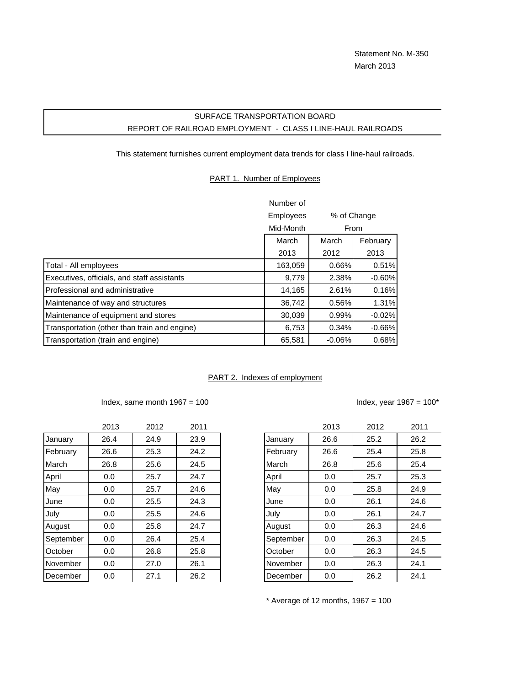# SURFACE TRANSPORTATION BOARD REPORT OF RAILROAD EMPLOYMENT - CLASS I LINE-HAUL RAILROADS

This statement furnishes current employment data trends for class I line-haul railroads.

#### PART 1. Number of Employees

|                                              | Number of |          |             |
|----------------------------------------------|-----------|----------|-------------|
|                                              | Employees |          | % of Change |
|                                              | Mid-Month | From     |             |
|                                              | March     | March    | February    |
|                                              | 2013      | 2012     | 2013        |
| Total - All employees                        | 163,059   | 0.66%    | 0.51%       |
| Executives, officials, and staff assistants  | 9,779     | 2.38%    | $-0.60%$    |
| Professional and administrative              | 14,165    | 2.61%    | 0.16%       |
| Maintenance of way and structures            | 36,742    | 0.56%    | 1.31%       |
| Maintenance of equipment and stores          | 30,039    | 0.99%    | $-0.02%$    |
| Transportation (other than train and engine) | 6,753     | 0.34%    | $-0.66%$    |
| Transportation (train and engine)            | 65,581    | $-0.06%$ | 0.68%       |

#### PART 2. Indexes of employment

### Index, same month  $1967 = 100$  Index, year  $1967 = 100^*$

|           | 2013 | 2012 | 2011 |           | 2013 | 2012 | 201' |
|-----------|------|------|------|-----------|------|------|------|
| January   | 26.4 | 24.9 | 23.9 | January   | 26.6 | 25.2 | 26.2 |
| February  | 26.6 | 25.3 | 24.2 | February  | 26.6 | 25.4 | 25.8 |
| March     | 26.8 | 25.6 | 24.5 | March     | 26.8 | 25.6 | 25.4 |
| April     | 0.0  | 25.7 | 24.7 | April     | 0.0  | 25.7 | 25.3 |
| May       | 0.0  | 25.7 | 24.6 | May       | 0.0  | 25.8 | 24.9 |
| June      | 0.0  | 25.5 | 24.3 | June      | 0.0  | 26.1 | 24.6 |
| July      | 0.0  | 25.5 | 24.6 | July      | 0.0  | 26.1 | 24.7 |
| August    | 0.0  | 25.8 | 24.7 | August    | 0.0  | 26.3 | 24.6 |
| September | 0.0  | 26.4 | 25.4 | September | 0.0  | 26.3 | 24.5 |
| October   | 0.0  | 26.8 | 25.8 | October   | 0.0  | 26.3 | 24.5 |
| November  | 0.0  | 27.0 | 26.1 | November  | 0.0  | 26.3 | 24.1 |
| December  | 0.0  | 27.1 | 26.2 | December  | 0.0  | 26.2 | 24.1 |

| 2013 | 2012 | 2011 |           | 2013 | 2012 | 2011 |
|------|------|------|-----------|------|------|------|
| 26.4 | 24.9 | 23.9 | January   | 26.6 | 25.2 | 26.2 |
| 26.6 | 25.3 | 24.2 | February  | 26.6 | 25.4 | 25.8 |
| 26.8 | 25.6 | 24.5 | March     | 26.8 | 25.6 | 25.4 |
| 0.0  | 25.7 | 24.7 | April     | 0.0  | 25.7 | 25.3 |
| 0.0  | 25.7 | 24.6 | May       | 0.0  | 25.8 | 24.9 |
| 0.0  | 25.5 | 24.3 | June      | 0.0  | 26.1 | 24.6 |
| 0.0  | 25.5 | 24.6 | July      | 0.0  | 26.1 | 24.7 |
| 0.0  | 25.8 | 24.7 | August    | 0.0  | 26.3 | 24.6 |
| 0.0  | 26.4 | 25.4 | September | 0.0  | 26.3 | 24.5 |
| 0.0  | 26.8 | 25.8 | October   | 0.0  | 26.3 | 24.5 |
| 0.0  | 27.0 | 26.1 | November  | 0.0  | 26.3 | 24.1 |
| 0.0  | 27.1 | 26.2 | December  | 0.0  | 26.2 | 24.1 |

 $*$  Average of 12 months, 1967 = 100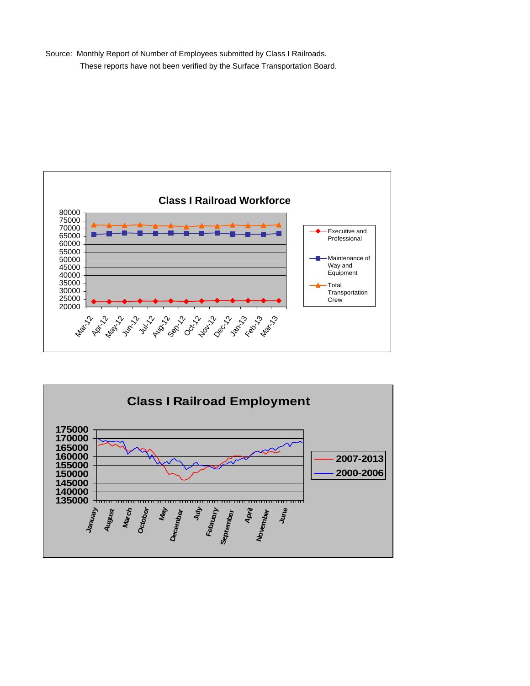Source: Monthly Report of Number of Employees submitted by Class I Railroads. These reports have not been verified by the Surface Transportation Board.



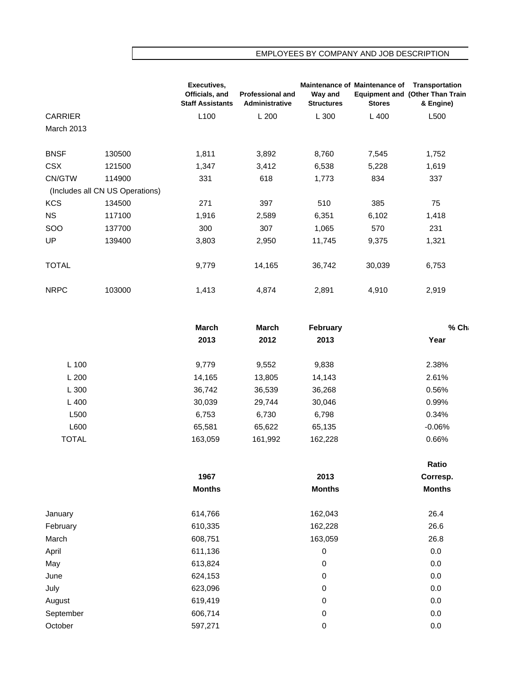## EMPLOYEES BY COMPANY AND JOB DESCRIPTION

|                   |                                 | Executives,<br>Officials, and<br><b>Staff Assistants</b> | <b>Professional and</b><br><b>Administrative</b> | Way and<br><b>Structures</b> | Maintenance of Maintenance of<br><b>Stores</b> | Transportation<br><b>Equipment and (Other Than Train</b><br>& Engine) |
|-------------------|---------------------------------|----------------------------------------------------------|--------------------------------------------------|------------------------------|------------------------------------------------|-----------------------------------------------------------------------|
| <b>CARRIER</b>    |                                 | L <sub>100</sub>                                         | L200                                             | L 300                        | $L$ 400                                        | L500                                                                  |
| <b>March 2013</b> |                                 |                                                          |                                                  |                              |                                                |                                                                       |
| <b>BNSF</b>       | 130500                          | 1,811                                                    | 3,892                                            | 8,760                        | 7,545                                          | 1,752                                                                 |
| <b>CSX</b>        | 121500                          | 1,347                                                    | 3,412                                            | 6,538                        | 5,228                                          | 1,619                                                                 |
| CN/GTW            | 114900                          | 331                                                      | 618                                              | 1,773                        | 834                                            | 337                                                                   |
|                   | (Includes all CN US Operations) |                                                          |                                                  |                              |                                                |                                                                       |
| <b>KCS</b>        | 134500                          | 271                                                      | 397                                              | 510                          | 385                                            | 75                                                                    |
| <b>NS</b>         | 117100                          | 1,916                                                    | 2,589                                            | 6,351                        | 6,102                                          | 1,418                                                                 |
| SOO               | 137700                          | 300                                                      | 307                                              | 1,065                        | 570                                            | 231                                                                   |
| UP                | 139400                          | 3,803                                                    | 2,950                                            | 11,745                       | 9,375                                          | 1,321                                                                 |
| <b>TOTAL</b>      |                                 | 9,779                                                    | 14,165                                           | 36,742                       | 30,039                                         | 6,753                                                                 |
| <b>NRPC</b>       | 103000                          | 1,413                                                    | 4,874                                            | 2,891                        | 4,910                                          | 2,919                                                                 |

|              | March   | March   | February | % Ch     |
|--------------|---------|---------|----------|----------|
|              | 2013    | 2012    | 2013     | Year     |
| $L$ 100      | 9,779   | 9,552   | 9,838    | 2.38%    |
| L200         | 14,165  | 13,805  | 14,143   | 2.61%    |
| L300         | 36,742  | 36,539  | 36,268   | 0.56%    |
| $L$ 400      | 30,039  | 29,744  | 30,046   | 0.99%    |
| L500         | 6,753   | 6,730   | 6,798    | 0.34%    |
| L600         | 65,581  | 65,622  | 65,135   | $-0.06%$ |
| <b>TOTAL</b> | 163,059 | 161,992 | 162,228  | 0.66%    |

|           |               |               | Ratio         |
|-----------|---------------|---------------|---------------|
|           | 1967          | 2013          | Corresp.      |
|           | <b>Months</b> | <b>Months</b> | <b>Months</b> |
| January   | 614,766       | 162,043       | 26.4          |
| February  | 610,335       | 162,228       | 26.6          |
| March     | 608,751       | 163,059       | 26.8          |
| April     | 611,136       | 0             | 0.0           |
| May       | 613,824       | 0             | 0.0           |
| June      | 624,153       | 0             | 0.0           |
| July      | 623,096       | 0             | 0.0           |
| August    | 619,419       | 0             | 0.0           |
| September | 606,714       | 0             | 0.0           |
| October   | 597,271       | 0             | 0.0           |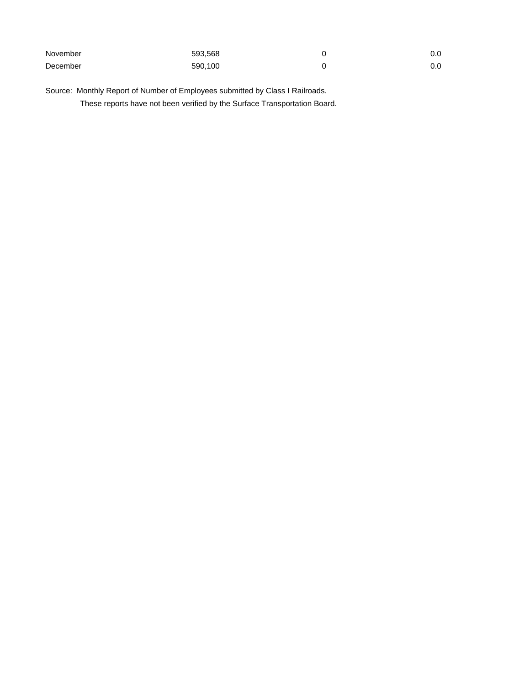| November | 593.568 | 0.0 |
|----------|---------|-----|
| December | 590,100 | 0.0 |

Source: Monthly Report of Number of Employees submitted by Class I Railroads. These reports have not been verified by the Surface Transportation Board.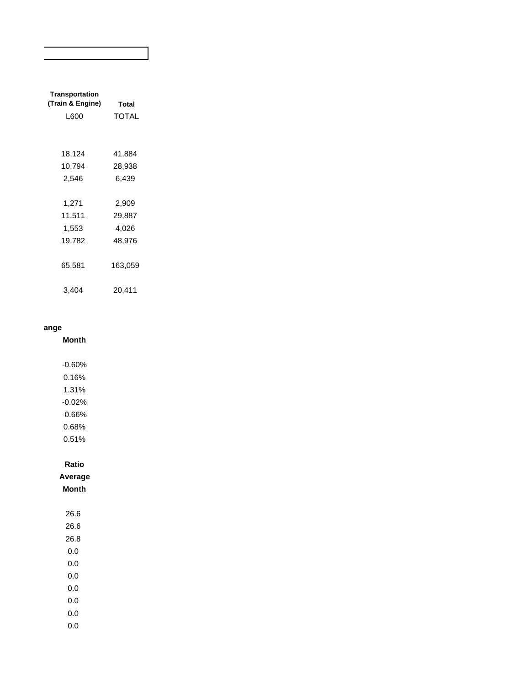| Transportation<br>(Train & Engine)<br>L600 | <b>Total</b><br>TOTAL |
|--------------------------------------------|-----------------------|
|                                            |                       |
| 18,124                                     | 41,884                |
| 10,794                                     | 28,938                |
| 2,546                                      | 6,439                 |
|                                            |                       |
| 1,271                                      | 2,909                 |
| 11,511                                     | 29,887                |
| 1,553                                      | 4,026                 |
| 19,782                                     | 48,976                |
| 65,581                                     | 163,059               |
| 3.404                                      | 20,411                |

### **ange**

**Month**

- -0.60% 0.16% 1.31% -0.02% -0.66% 0.68% 0.51% **Ratio Average Month** 26.6
	- 26.6 26.8 0.0 0.0 0.0 0.0
	- 0.0 0.0
	- 0.0